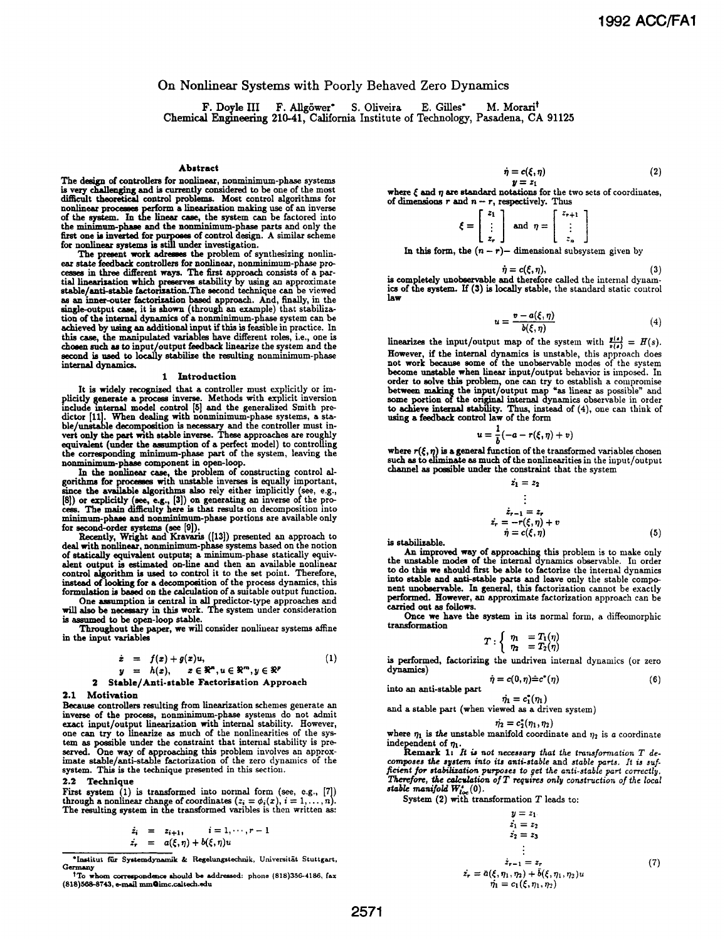# On Nonlinear Systems with Poorly Behaved Zero Dynamics

F. Doyle III F. Allgöwer\* S. Oliveira E. Gilles\* M. Morari Chemical Engineering 210-41, California Institute of Technology, Pasadena, CA <sup>91125</sup>

#### Abstract

The design of controllers for nonlinear, nonminimum-phase systems is very challenging and is currently considered to be one of the most difficult theoretical control problems. Most control appoitmes for nonlinear processes perform a linearization making use of an inverse of the system. I the minimum-phase and the nonminimum-phase parts and only the first one is inverted for purpose of control design. A similar scheme for nonlinear systems is still under investigation.

The present work adresses the problem of synthesizing nonlinear state feedback controllers for nonlinear, nonminimum-phase processes in three different ways. The first approach consists of a par-<br>tial linearization which preserves stability by using an approximate<br>stable/anti-stable factorization.The second technique can be viewed as an inner-outer factorization based approach. And, finally, in the single-output case, it is shown (through an example) that stabiliza-tion of the internal dynamics of a nonmininum-phase system can be achieved by using an additional input if this is feasible in practice. In this case, the manipulated variables have different roles, i.e., one is chosen such as to input/output feedback linearize the system and the second is used to locally stabilze the resulting nonminimum-phase internal dynamics.

#### 1 Introduction

It is widely recognized that a controller must explicitly or im-<br>plicitly generate a process inverse. Methods with explicit inversion<br>include internal model control [5] and the generalized Smith predictor [11]. When dealing with nonminimum-phase systems, a stable/unstable decomposition is necessary and the controller must invert only the part with stable inverse. These approaches are roughly equivalent (under the assumption of a perfect model) to controlling the corresponding minimum-phase part of the system, leaving the nonminimum-phase component in open-loop.

In the nonlinear case, the problem of constructing control algorithms for processes with unstable inverses is equally important, since the available algorithms also rely either implicitly (see, e.g., [8]) or explicitly (see, e.g., [3]) on generating an inverse of the pro-<br>cess. The main difficulty here is that results on decomposition into<br>minimum-

for second-order systems (see [9]).<br>Recently, Wright and Kravaris ([13]) presented an approach to<br>deal with nonlinear, nonminimum-phase systems based on the notion<br>of statically equivalent outputs; a minimum-phase statical alent output is estimated on-line and then an available nonlinear control algorithm is used to control it to the set point. Therefore, instead of looking for a decomposition of the process dynamics, this formulation is based on the calculation of a suitable output function.

One awmption is central in all predictor-type approaches and will also be necessary in this work. The system under consideration is asumed to be open-loop stable.

Throughout the paper, we wil consider nonlinear systems affine in the input variables

$$
\dot{x} = f(x) + g(x)u,
$$
  
\n
$$
y = h(x), \quad x \in \mathbb{R}^m, u \in \mathbb{R}^m, y \in \mathbb{R}^p
$$
 (1)

2 Stable/Anti-stable Factorization Approach

# 2.1 Motivation

Because controllers resulting from linearization schemes generate an inverse of the process, nonminiimum-phase systems do not admit exact input/output linearization with internal stability. However, one can try to linearize as much of the nonlinearities of the system as possible under the constraint that internal stability is pre-<br>served. One way of approaching this problem involves an approx-<br>served. One way of appro system. This is the technique presented in this section.

# 2.2 Technique

First system  $(1)$  is transformed into normal form (see, e.g.,  $[7]$ ) through a nonlinear change of coordinates  $(z_1 = \phi_i(x), i = 1, \ldots, n)$ . The resulting system in the transformed varibles is then written as:

$$
\dot{z}_i = z_{i+1}, \quad i = 1, \dots, r-1
$$
  
\n $\dot{z}_r = a(\xi, \eta) + b(\xi, \eta)u$ 

\*Institut für Systemdynamik & Regelungstechnik, Universität Stuttgart, Germany

$$
= c(\xi, \eta) \tag{2}
$$

$$
y = z_1
$$

where  $\xi$  and  $\eta$  are standard notations for the two sets of coordinates, of dimensions  $r$  and  $n-r$ , respectively. Thus

 $\dot{\boldsymbol{\eta}}$ 

 $\xi = \begin{bmatrix} z_1 \\ \vdots \\ z_r \end{bmatrix}$  and  $\eta = \begin{bmatrix} z_{r+1} \\ \vdots \\ z_n \end{bmatrix}$ 

In this form, the  $(n - r)$ - dimensional subsystem given by

$$
\dot{\eta} = c(\xi, \eta), \tag{3}
$$

 $\dot{\eta} = c(\xi, \eta)$ , (3)<br>is completely unobservable and therefore called the internal dynamics of the system. If (3) is locally stable, the standard static control law

$$
u = \frac{v - a(\xi, \eta)}{b(\xi, \eta)}
$$
(4)

linearizes the input/output map of the system with  $\frac{y(s)}{v(s)} = H(s)$ . However, if the internal dynamics is unstable, this approach does not work because some of the unobservable modes of the system become unstable when linear input/output behavior is imposed. In order to solve this problem, one can try to establish a compromise<br>between making the input/output map "as linear as possible" and<br>some portion of the original internal dynamics observable in order<br>to achieve internal sta

$$
u=\frac{1}{h}(-a-r(\xi,\eta)+v)
$$

where  $r(\xi, \eta)$  is a general function of the transformed variables chosen such as to eliminate as much of the nonlinearities in the input/output channel as possble under the constraint that the system  $z = 2$ 

$$
z_1 = z_2
$$
  
\n
$$
\vdots
$$
  
\n
$$
\dot{z}_{r-1} = z_r
$$
  
\n
$$
\dot{z}_r = -r(\xi, \eta) + v
$$
  
\n
$$
\dot{\eta} = c(\xi, \eta)
$$
 (5)

An improved way of approaching this problem is to make only the unstable modes of the internal dynamics observable. In order to do this we should first be able to factorize the internal dynamics into stable and anti-stable parts and leave only the stable component unobservable. In general, this factorization cannot be exactly performed. However, an approximate factorization approach can be carried out as follows.

Once we have the system in its normal form, a diffeomorphic transformation

$$
T:\left\{\begin{array}{ll}\eta_1 &= T_1(\eta) \\ \eta_2 &= T_2(\eta)\end{array}\right.
$$

is performed, factorizing the undriven internal dynamics (or zero dynamics)  $ic(0, \eta) \hat{=} c^*(\eta)$  (6)

$$
\eta = c(0, \eta) = c(\eta)
$$
 into an anti-stable part

 $\dot{\eta}_1 = c_1^*(\eta_1)$ <br>and a stable part (when viewed as a driven system)

$$
\dot{\eta_2}=c_2^*(\eta_1,\eta_2)
$$

where  $\eta_1$  is the unstable manifold coordinate and  $\eta_2$  is a coordinate

independent of  $\eta_1$ .<br>Remark 1: It is not necessary that the transformation T de-<br>composes the system into its anti-stable and stable parts. It is suf-<br>ficient for stabilization purposes to get the anti-stable part corre Therefore, the calculation of T requires only construction of the local stable manifold  $W_{loc}^s(0)$ .<br>System (2) with transformation T leads to:

$$
y = z_1
$$
  
\n
$$
\dot{z_1} = z_2
$$
  
\n
$$
\dot{z_2} = z_3
$$
  
\n
$$
\vdots
$$
  
\n
$$
\dot{z_{r-1}} = z_r
$$
  
\n
$$
\dot{z_{r-1}} = z_r
$$
  
\n
$$
\dot{\eta_1} = c_1(\xi, \eta_1, \eta_2)
$$
  
\n(7)

tTo whom correspondce should be addressed: phone (818)356-4186, fax (818)5688743, e-mail mnmOimc.caltech.edu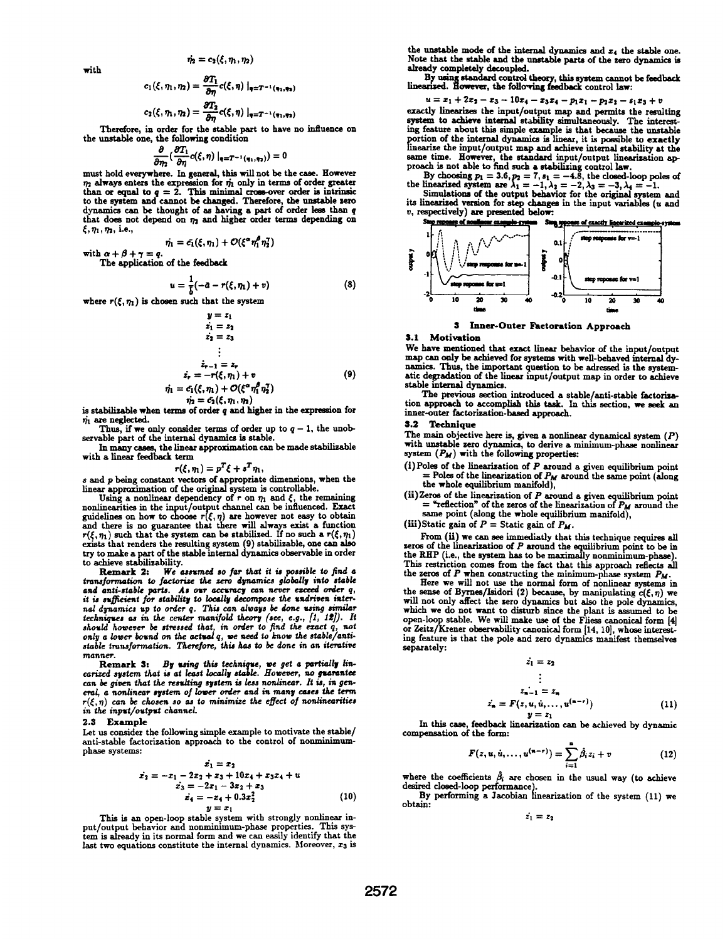with

$$
\dot{\eta}_2=c_2(\xi,\eta_1,\eta_2)
$$

$$
c_1(\xi,\eta_1,\eta_2)=\frac{\partial T_1}{\partial \eta}c(\xi,\eta)\big|_{\eta=T^{-1}(\eta_1,\eta_2)}
$$

$$
c_2(\xi,\eta_1,\eta_2)=\frac{\partial T_2}{\partial \eta}c(\xi,\eta)\big|_{\eta=T^{-1}(\eta_1,\eta_2)}
$$

Therefore, in order for the stable part to have no influence on the unstable one, the following condition

$$
\frac{\partial}{\partial \eta_2} \left( \frac{\partial T_1}{\partial \eta} c(\xi, \eta) \right) \big|_{\eta = T^{-1}(\eta_1, \eta_2)} \big) = 0
$$

must hold everywhere. In general, this will not be the case. However  $\eta_2$  always enters the expression for  $\eta_1$  only in terms of order greater than or equal to  $q = 2$ . This minimal cross-over order is intrinsic to the system and cannot be changed. Therefore, the unstable zero dynamics can be thought of as having a part of order less than  $q$ that does not depend on  $\eta_2$  and higher order terms depending on  $\xi, \eta_1, \eta_2,$  i.e.,

$$
\dot{\eta}_1=\bar{c_1}(\xi,\eta_1)+\mathcal{O}(\xi^\alpha\eta_1^\beta\eta_2^\gamma)
$$

with  $\alpha + \beta + \gamma = q$ . The application of the feedback

$$
u=\frac{1}{b}(-a-r(\xi,\eta_1)+v)
$$

where  $r(\xi, \eta_1)$  is chosen such that the system

$$
y = z_1\n\dot{z}_1 = z_2\n\dot{z}_2 = z_3\n\vdots\n\dot{z}_{r-1} = z_r\n\dot{z}_r = -r(\xi, \eta_1) + v\n\dot{\eta_1} = \zeta_1(\xi, \eta_1) + O(\xi^{\alpha} \eta_1^{\beta} \eta_2^{\gamma})
$$
\n
$$
\dot{\eta_2} = \zeta_2(\xi, \eta_1, \eta_2)
$$
\n(9)

 $\eta_2 = c_2(\xi, \eta_1, \eta_2)$ <br>is stabilizable when terms of order q and higher in the expression for  $\eta_1$  are neglected.

Thus, if we only consider terms of order up to  $q-1$ , the unobservable part of the internal dynamics is stable.

In many cases, the linear approximation can be made stabilizable with a linear feedback term

$$
r(\xi,\eta_1)=p^T\xi+s^T\eta_1,
$$

<sup>s</sup> and p being constant vectors of appropriate dimensions, when the linear approximation of the original system is controllable.

Using a nonlinear dependency of r on  $\eta_1$  and  $\xi$ , the remaining nonlinearities in the input/output channel can be influenced. Exact guidelines on how to choose  $r(\xi, \eta)$  are however not easy to obtain and there is no guarantee that there will always exist a function  $r(\xi, \eta_1)$  such that the system can be stabilized. If no such a  $r(\xi, \eta_1)$ exists that renders the resulting system (9) stabilizable, one can also

try to make a part of the stable internal dynamics observable in order<br>to achieve stabilizability.<br>Remark 2: We assumed so far that it is possible to find a<br>transformation to factorize the zero dynamics globally into stabl and anti-stable parts. As our accuracy can never exceed order q,<br>it is sufficient for stability to locally decompose the undriven internal dynamics up to order q. This can always be done using similar<br>techniques as in the center manifold theory (see, e.g., [1, 12]). It<br>should however be stressed that, in order to find the ezact q, not<br>only a lower bound o manner.

Remark 3: By using this technique, we get a partially lin-<br>earized system that is at least locally stable. However, no guarantee can be given that the resuling system is less nonlinear. It is, in general, a nonlinear system of lower order and in many cases the term  $r(\xi, \eta)$  can be chosen so as to minimize the effect of nonlinearities in the input/output channeL

## 2.3 Example

Let us consider the following simple example to motivate the stable/ anti-stable factorization approach to the control of nonminimumphase systems:

$$
\begin{aligned}\n\dot{x}_1 &= x_2\\ \n\dot{x}_2 &= -x_1 - 2x_2 + x_3 + 10x_4 + x_3x_4 + u\\ \n\dot{x}_3 &= -2x_1 - 3x_2 + x_3\\ \n\dot{x}_4 &= -x_4 + 0.3x_2^2\\ \n\dot{y} &= x_1\n\end{aligned}\n\tag{10}
$$

This is an open-loop stable system with strongly nonlinear input/output behavior and nonminimum-phase properties. This system is already in its normal form and we can easily identify that the last two equations constitute the internal dynamics. Moreover,  $x_3$  is

the unstable mode of the internal dynamics and  $x_4$  the stable one. Note that the stable and the unstable parts of the zero dynamics is already completely decoupled.

By using standard control theory, this system cannot be feedback<br>linearized. However, the following feedback control law:

$$
= z_1 + 2z_2 - z_3 - 10z_4 - z_3z_4 - p_1z_1 - p_2z_2 - s_1z_3 + v
$$

 $u = z_1 + 2z_2 - z_3 - 10z_4 - z_3z_4 - p_1z_1 - p_2z_2 - s_1z_3 + v$ <br>exactly linearizes the input/output map and permits the resulting system to achieve internal stability simultaneously. The interesting feature about this simple example is that because the unstable portion of the internal dynamics is linear, it is possible to exactly linearize the input/output map and achieve internal stability at the same time. However, the standard input/output linearization approach is not able to find such a stabilizing control law.<br>By choosing  $p_1 = 3.6, p_2 = 7, s_1 = -4.8$ , the closed-loop poles of<br>the linearized system are  $\lambda_1 = -1,$ 

Simulations of the output behavior for the original system and its linearized version for step changes in the input variables (u and v, respectively) are presented below:<br>Suprepease of nonlinear example system Ste



## S Inner-Outer Factoration Approach

### 3.1 Motivation

(8)

We have mentioned that exact linear behavior of the input/output map can only be achieved for systems with well-behaved interal dynamics. Thus, the important question to be adressed is the systematic degradation of the linear input/output map in order to achieve stable internal dynamics.

The previous section introduced a stable/anti-stable factorization approach to accomplish this task. In this section, we seek an inner-outer factorization-based approach.

# 3.2 Techique

The main objective here is, given a nonlinear dynamical system  $(P)$ with unstable sero dynamics, to derive a minimum-phase nonlinear system  $(P_M)$  with the following properties:

- $(i)$  Poles of the linearization of  $P$  around a given equilibrium point = Poles of the linearization of  $P_M$  around the same point (along the whole equilibrium manifold),
- (ii) Zeros of the linearization of P around a given equilibrium point = "reflection" of the zeros of the linearization of  $P_M$  around the same point (along the whole equilibrium manifold),

(iii)Static gain of  $P =$  Static gain of  $P_M$ .

From (ii) we can see immediatly that this technique requires all zeros of the linearization of  $P$  around the equilibrium point to be in the RHP (i.e., the system has to be maximally nonminimum-phase). This restriction comes from the fact that this approach reflects all the zeros of  $P$  when constructing the minimum-phase system  $P_M$ .

Here we will not use the normal form of nonlinear systems in the sense of Byrnes/Isidori (2) because, by manipulating  $c(\xi, \eta)$  we will not only affect the zero dynamics but also the pole dynamics, which we do not want to disturb since the plant is assumed to be open-loop stable. We will make use of the Fliess canonical form (4] or Zeitz/Krener observability canonical form [14, 10], whose interesting feature is that the pole and zero dynamics manifest themselves separately:

$$
z_1=z_2
$$

$$
\vdots
$$
\n
$$
z_{n-1} = z_n
$$
\n
$$
z_n = F(z, u, \dot{u}, \dots, u^{(n-r)})
$$
\n(11)

 $y = z_1$ <br>In this case, feedback linearization can be achieved by dynamic compensation of the form:

$$
F(z, u, u, ..., u^{(n-r)}) = \sum_{i=1}^{n} \hat{\beta}_i z_i + v \qquad (12)
$$

where the coefficients  $\beta_i$  are chosen in the usual way (to achieve

By performing a Jacobian linearization of the system (11) we obtain:

 $\dot{z_1} = z_2$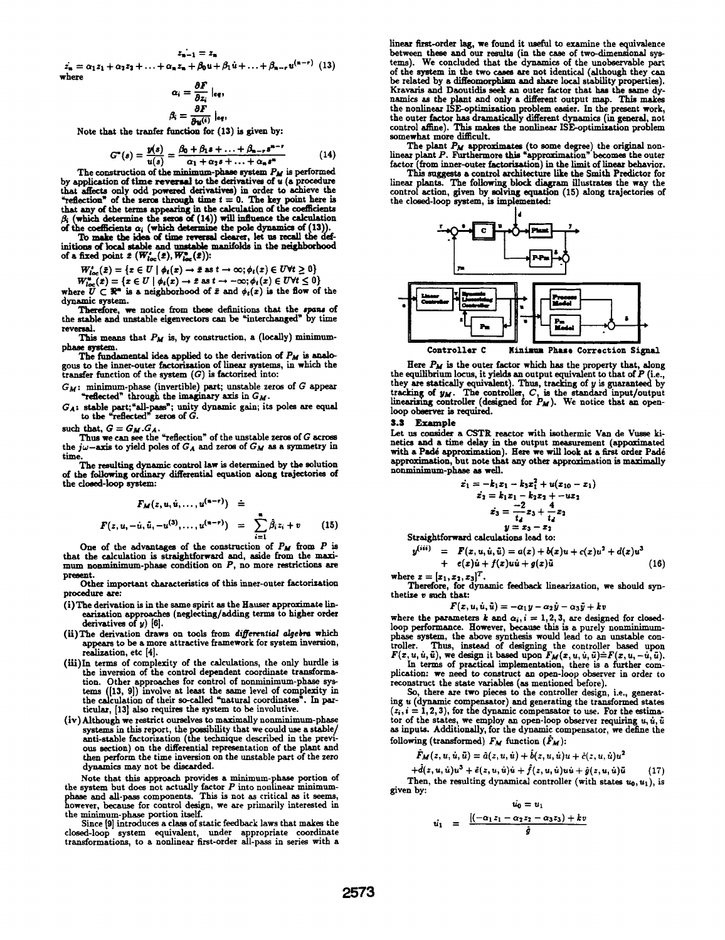$$
z_{\mathbf{n}-1}=z_{\mathbf{n}}
$$

 $\hat{c}_n = \alpha_1 z_1 + \alpha_2 z_2 + \ldots + \alpha_n z_n + \beta_0 u + \beta_1 u + \ldots + \beta_{n-r} u^{(n-r)}$  (13) where

$$
\alpha_i = \frac{\partial F}{\partial z_i} \mid_{eq},
$$

$$
\beta_i = \frac{\partial F}{\partial u^{(i)}} \mid_{eq},
$$

Note that the tranfer function for  $(13)$  is given by:

$$
G^*(s) = \frac{y(s)}{u(s)} = \frac{\beta_0 + \beta_1 s + \ldots + \beta_{n-r} s^{n-r}}{\alpha_1 + \alpha_2 s + \ldots + \alpha_n s^n}
$$
(14)

The construction of the minimum-phase system  $P_M$  is performed by application of time reversal to the derivatives of  $u$  (a procedure that affects only odd powered derivatives) in order to achieve the "reflection" of the seros through time  $t = 0$ . The key point here is that any of the terms appearing in the calculation of the coefficients  $\beta_i$  (which determine the zeros of  $(14)$ ) will influence the calculation

of the coefficients  $\alpha_i$  (which determine the pole dynamics of (13)).<br>To make the idea of time reversal clearer, let us recall the def-<br>initions of local stable and unstable manifolds in the neighborhood of a fixed point  $\bar{x}$  ( $W_{loc}^*(\bar{x})$ ,  $W_{loc}^*(\bar{x})$ ):

$$
W_{loc}^{\bullet}(\tilde{x}) = \{x \in U \mid \phi_t(x) \to \tilde{x} \text{ as } t \to \infty; \phi_t(x) \in U \forall t \geq 0\}
$$

 $W_{loc}^u(\bar{x}) = \{x \in U \mid \phi_t(x) \to \bar{x} \text{ as } t \to -\infty; \phi_t(x) \in UVt \leq 0\}.$ 

where  $\widetilde{U} \subset \mathbb{R}^n$  is a neighborhood of  $\bar{x}$  and  $\phi_t(x)$  is the flow of the dynamic system.

Therefore, we notice from these definitions that the spans of the stable and unstable eigenvectors can be "interchanged' by time revemal.

This means that  $P_M$  is, by construction, a (locally) minimumphae system.

The fundamental idea applied to the derivation of  $P_M$  is analogous to the inner-outer factorization of linear systems, in which the transfer function of the system  $(G)$  is factorized into:

 $G_M$ : minimum-phase (invertible) part; unstable zeros of  $G$  appear "reflected" through the imaginary axis in  $G_M$ .

 $G_A$ : stable part; "all-pass"; unity dynamic gain; its poles are equal to the "reflected" zeros of  $G$ .

such that,  $G = G_M.G_A$ .

Thus we can see the "reflection" of the unstable zeros of G across the jw-axis to yield poles of  $G_A$  and zeros of  $G_M$  as a symmetry in

time.<br>The resulting dynamic control law is determined by the solution<br>of the following ordinary differential equation along trajectories of<br>the closed-loop system:

$$
F_M(z, u, \dot{u}, ..., u^{(n-r)}) \quad \dot{=}
$$
\n
$$
F(z, u, -\dot{u}, \ddot{u}, -u^{(3)}, ..., u^{(n-r)}) \quad = \quad \sum_{i=1}^{n} \hat{\beta}_i z_i + v \qquad (15)
$$

One of the advantages of the construction of  $P_M$  from  $P$  is that the calculation is straightforward and, aside from the maximum nonminimum-phase condition on P, no more restrictions are present.

Other important characteristics of this inner-outer factorization procedure are:

- (i)The derivation is in the same spirit as the Hauser approximate inearization approaches (neglecting/adding terms to higher order derivatives of  $y$ ) [6].
- (ii) The derivation draws on tools from differential algebra which appears to be a more attractive framework for system inversion, realization, etc [4].
- (iiii)In terms of complexity of the calculations, the only hurdle is the inversion of the control dependent coordinate transformation. Other approaches for control of nonminimum-phase systems ([13, 9]) involve at least the same level of complexity in the calculation of their so-called "natural coordinates". In particular, [13] also requires the system to be involutive.
- (iv) Although we restrict ourselves to maximally nonminimum-phase systems in this report, the possibility that we could use a stable/ anti-stable factorization (the technique described in the previous section) on the differential representation of the plant and ther perform the time inversion on the unstable part of the zero dynamics may not be discarded.

Note that this approach provides a minimum-phase portion of the system but does not actually factor P into nonlinear minimum-phase and all-pass components. This is not as critical as it seems, however, because for control design, we are primarily interested in the minimum-phase portion itself.

Since [9] introduces a class of static feedback laws that makes the closed-loop system equivalent, under appropriate coordinate transformations, to a noninear first-order all-pass in series with a linear first-order lag, we found it useful to examine the equivalence between these and our results (in the case of two-dimensional systems). We concluded that the dynamics of the unobservable part of the system in the two cases are not identical (although they can be related by a diffeomorphism and share local stability properties). Kravaris and Daoutidis seek an outer factor that has the same dynamics as the plant and only a different output map. This makes the nonlinear ISE-optimization problem easier. In the present work, the outer factor has dramatically different dynamics (in general, not control affine). This makes the nonlinear ISE-optimization problem somewhat more difficult.

The plant  $P_M$  approximates (to some degree) the original non-<br>linear plant  $P$ . Furthermore this "approximation" becomes the outer factor (from inner-outer factoisation) in the limit of linear behavior.

This suggests a control architecture like the Smith Predictor for linear plants. The following block diagram illustrates the way the control action, given by solving equation (15) along trajectories of the closed-loop system, is implemented:



Here  $P_M$  is the outer factor which has the property that, along<br>the equilibrium locus, it yields an output equivalent to that of  $P$  (i.e.,<br>they are statically equivalent). Thus, tracking of  $y$  is guaranteed by<br>tracking loop observer is required.

#### 3.3 Example

Let us consider a CSTR reactor with isothermic Van de Vusse kinetics and a time delay in the output measurement (appoximated with a Padé approximation). Here we will look at a first order Padé approximation, but note that any other approximation is maximally nonminimum-phase as well.

$$
\begin{aligned}\n\dot{x}_1 &= -k_1 x_1 - k_3 x_1^2 + u(x_{10} - x_1) \\
\dot{x}_2 &= k_1 x_1 - k_2 x_2 + -u x_2 \\
\dot{x}_3 &= \frac{-2}{t_4} x_3 + \frac{4}{t_4} x_2 \\
y &= x_3 - x_2\n\end{aligned}
$$

 $y = x_3 - x_2$ <br>Straightforward calculations lead to:

$$
y^{(iii)} = F(x, u, \dot{u}, \ddot{u}) = a(x) + b(x)u + c(x)u^{2} + d(x)u^{3} + e(x)\dot{u} + f(x)u\dot{u} + g(x)\ddot{u}
$$
\n(16)

$$
\mathbf{r} = [\mathbf{r}, \ \mathbf{r}_1, \ \mathbf{r}_2]^T
$$

where  $x = [x_1, x_2, x_3]^T$ .<br>Therefore, for dynamic feedback linearization, we should synthetize v such that:

$$
F(x, u, \dot{u}, \ddot{u}) = -\alpha_1 y - \alpha_2 \dot{y} - \alpha_3 \ddot{y} + k v
$$

where the parameters  $k$  and  $\alpha_i$ ,  $i = 1, 2, 3$ , are designed for closed-loop performance. However, because this is a purely nonminimumphase system, the above synthesis would lead to an unstable controller. Thus, instead of designing the controller based upon  $F(x, u, \ddot{u}, \ddot{u})$ , we design it based upon  $F_M(x, u, \ddot{u}, \ddot{u})=F(x, u, -\dot{u}, \ddot{u})$ .

In terms of practical implementation, there is a further complication: we need to construct an open-loop observer in order to reconstruct the state variables (as mentioned before).

So, there are two pieces to the controller design, i.e., generating u (dynamic compensator) and generating the transformed states  $(z_i, i = 1, 2, 3)$ , for the dynamic compensator to use. For the estimator of the states, we employ an open-loop observer requiring  $u, \dot{u}, \ddot{u}$ as inputs. Additionally, for the dynamic compesator, we define the following (transformed)  $F_M$  function  $(\tilde{F}_M)$ :

$$
F_M(z, u, \dot{u}, \ddot{u}) = \hat{a}(z, u, \dot{u}) + \dot{b}(z, u, \dot{u})u + \dot{c}(z, u, \dot{u})u^2
$$

 $+ \tilde{d}(z, u, \dot{u})u^3 + \hat{\epsilon}(z, u, \dot{u})\dot{u} + \hat{f}(z, u, \dot{u})\dot{u} + \hat{g}(z, u, \dot{u})\ddot{u}$  (17) Then, the resulting dynamical controller (with states  $u_0, u_1$ ), is given by:

$$
\dot{u_0} = u_1
$$
  

$$
\dot{u_1} = \frac{\left[(-\alpha_1 z_1 - \alpha_2 z_2 - \alpha_3 z_3) + k v\right]}{\hat{g}}
$$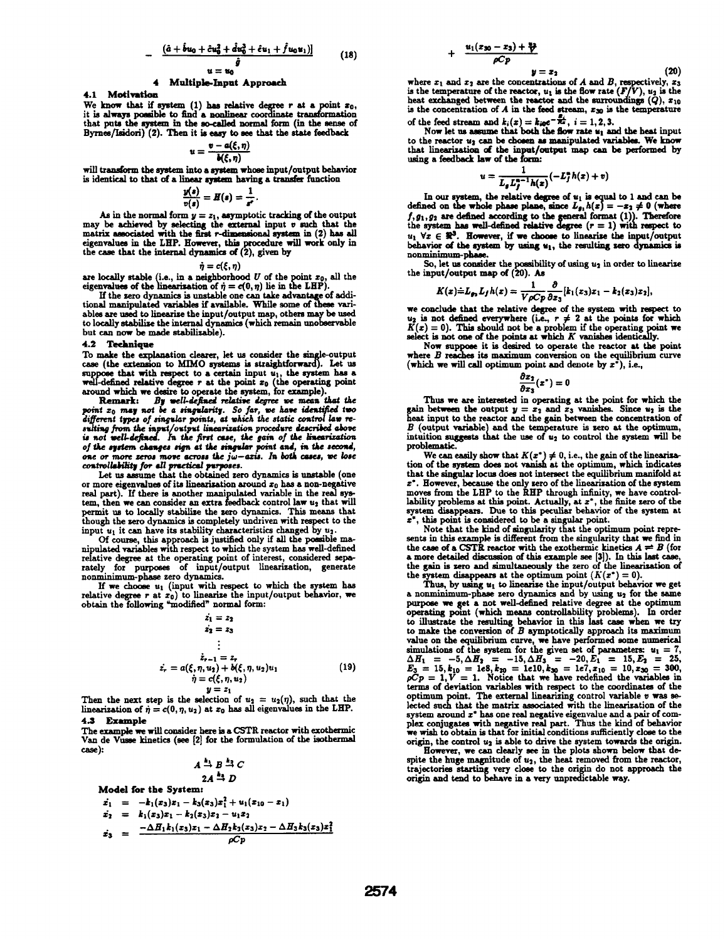$$
-\frac{(\hat{a}+\hat{b}u_0+\hat{c}u_0^2+\hat{d}u_0^3+\hat{c}u_1+\hat{f}u_0u_1)|}{u=u_0}\tag{18}
$$

## 4 Multiple-Input Approach

4.1 Motivati

We know that if system  $(1)$  has relative degree r at a point  $x_0$ , it is always possible to find a nonlinear coordinate transformation that puts the system in the so-called normal form (in the sense of Byrnes/Lsidori) (2). Then it is easy to see that the state feedback

$$
u=\frac{v-a(\xi,\eta)}{b(\xi,\eta)}
$$

will transform the system into a system whose input/output behavior is identical to that of a linear system having a transfer function

$$
\frac{y(s)}{v(s)}=H(s)=\frac{1}{s^s}.
$$

As in the normal form  $y = z_1$ , asymptotic tracking of the output may be achieved by selecting the external input  $v$  such that the matrix associated with the first r-dimensional system in (2) has all eigenvalues in the LHP. However, this procedure will work only in the case that the internal dynamics of (2), given by

$$
= c(\xi, \eta)
$$

are locally stable (i.e., in a neighborhood U of the point  $x_0$ , all the eigenvalues of the linearization of  $\eta = c(0, \eta)$  lie in the LHP).

If the zero dynamics is unstable one can take advantage of additional manipulated variables if available. While some of these variables are used to linearize the input/output map, others may be used<br>to locally stabilize the internal dynamics (which remain unobservable but can now be made stabilizable).

#### 4.2 Technique

To make the explanation clearer, let us consider the single-output case (the extension to MIMO systems is straightforward). Let us suppose that with respect to a certain input  $u_1$ , the system has a well-defined relative degree r at the point  $x_0$  (the operating point around which we desire to operate the system, for example).

Remark: By well-defined relative degree we mean that the point  $z_0$  may not be a singularity. So far, we have identified two different types of singular points, at which the static control law resulting from the input/output linearization procedure described above<br>is not well-defined. In the first case, the gain of the linearization of the system changes sign at the singular point and, in the second, one or more zeros move across the  $j\omega$ -axis. In both cases, we lose controllability for all practical purposes.

Let us asume that the obtained zero dynamics is unstable (one or more eigenvalues of its linearization around  $x_0$  has a non-negative real part). If there is another manipulated variable in the real sys-<br>tem, then we can consider an extra feedback control law  $u_2$  that will<br>permit us to locally stabilize the zero dynamics. This means that though the zero dynamics is completely undriven with respect to the input  $u_1$  it can have its stability characteristics changed by  $u_2$ .

Of course, this approach is justified only if all the posible ma-aipulated variables with respect to which the system has well-defined relative degree at the operating point of interest, considered sepa-rately for purposes of input/output linearization, generate nonminimum-phase zero dynamics.

If we choose  $u_1$  (input with respect to which the system has relative degree r at  $x_0$ ) to linearize the input/output behavior, we obtain the following "modified" normal form:

$$
z_1 = z_2
$$
  
\n
$$
z_2 = z_3
$$
  
\n
$$
\vdots
$$
  
\n
$$
z_{r-1} = z_r
$$
  
\n
$$
z_r = a(\xi, \eta, u_2) + b(\xi, \eta, u_2)u_1
$$
  
\n
$$
\eta = c(\xi, \eta, u_2)
$$
  
\n
$$
u = z_1
$$
\n(19)

Then the next step is the selection of  $u_2 = u_2(\eta)$ , such that the linearization of  $\dot{\eta} = c(0, \eta, u_2)$  at  $x_0$  has all eigenvalues in the LHP. 4.3 Example

The example we will consider here is a CSTR reactor with exothermic<br>Van de Vusse kinetics (see [2] for the formulation of the isothermal case):

$$
A \xrightarrow{k_1} B \xrightarrow{k_2} C
$$
  

$$
2A \xrightarrow{k_3} D
$$

Model for the System:

$$
\dot{x}_1 = -k_1(x_3)x_1 - k_3(x_3)x_1^2 + u_1(x_{10} - x_1)
$$
\n
$$
\dot{x}_2 = k_1(x_3)x_1 - k_2(x_3)x_2 - u_1x_2
$$
\n
$$
\dot{x}_3 = \frac{-\Delta H_1 k_1(x_3)x_1 - \Delta H_2 k_2(x_3)x_2 - \Delta H_3 k_3(x_3)x_1^2}{\rho C p}
$$

$$
\frac{u_1(x_{30}-x_3)+\frac{u_3}{V}}{\rho Cp} \qquad y=x_2 \tag{20}
$$

where  $x_1$  and  $x_2$  are the concentrations of A and B, respectively,  $x_3$ is the temperature of the reactor,  $u_1$  is the flow rate  $(F/V)$ ,  $u_2$  is the heat exchanged between the reactor and the surroundings  $(Q)$ ,  $x_{10}$ is the concentration of  $A$  in the feed stream,  $x_{30}$  is the temperature of the feed stream and  $k_i(x) = k_{i0}e^{-\frac{x_i}{R_x}}, i = 1, 2, 3.$ 

+

Now let us assume that both the flow rate  $u_1$  and the heat input to the reactor  $u_2$  can be chosen as manipulated variables. We know that linearization of the input/output map can be performed by using a feedback law of the form:

$$
u=\frac{1}{L_gL_f^{n-1}h(x)}(-L_f^n h(x)+v)
$$

In our system, the relative degree of  $u_1$  is equal to 1 and can be defined on the whole phase plane, since  $L_{g_1}h(x) = -x_2 \neq 0$  (where  $f, g_1, g_2$  are defined according to the general format (1)). Therefore the system has well-defined relative degree  $(r = 1)$  with respect to  $u_1 \ \forall z \in \mathbb{R}^3$ . However, if we choose to linearize the input/output behavior of the system by using  $u_1$ , the resulting zero dynamics is nonminimum-phase.

So, let us consider the posibility of using u2 in order to linearize the input/output map of (20). As

$$
K(x)=L_{g_2}L_{f}h(x)=\frac{1}{V\rho Cp}\frac{\partial}{\partial x_3}[k_1(x_3)x_1-k_2(x_3)x_2],
$$

we conclude that the relative degree of the system with respect to

 $u_2$  is not defined everywhere (i.e.,  $r \neq 2$  at the points for which  $K(x) = 0$ ). This should not be a problem if the operating point we select is not one of the points at which K vanishes identically.<br>Now suppose it is

$$
\frac{\partial x_2}{\partial x_3}(x^*)=0
$$

Thus we are interested in operating at the point for which the gain between the output  $y = x_2$  and  $x_3$  vanishes. Since  $u_2$  is the heat input to the reactor and the gain between the concentration of  $B$  (output variable) and the temperature is zero at the optimum, intuition suggests that the use of  $u_2$  to control the system will be problematic.

We can easily show that  $K(x^*) \neq 0$ , i.e., the gain of the linearization of the system does not vanish at the optimum, which indicates that the singular locus does not intersect the equilibrium manifold at  $x^*$ . However, because the only zero of the linearization of the system moves from the LHP to the RHP through infinity, we have controllability problems at this point. Actually, at  $x^*$ , the finite zero of the system di

Note that the kind of singularity that the optimum point represents in this example is different from the singularity that we find in the case of a CSTR reactor with the exothermic kinetics  $A \rightleftharpoons B$  (for a more detailed discussion of this example see [3]). In this last case, the gain is zero and simultaneously the zero of the linearization of the system disappears at the optimum point  $(K(x^*) = 0)$ . Thus, by using  $u_1$  to l

a nonminimum-phase zero dynamics and by using  $u_2$  for the same purpose we 4et <sup>a</sup> not well-defined relative degree at the optimum operating point (which means controllability proble). In order to illustrate the resulting behavior in this last case when we try<br>to make the conversion of B symptotically approach its maximum<br>value on the equilibrium curve, we have performed some numerical<br>simulations of the system  $\Delta H_1 = -5, \Delta H_2 = -15, \Delta H_3 = -20, E_1 = 15, E_2 = 25,$ <br>  $E_3 = 15, k_{10} = 1e8, k_{20} = 1e10, k_{30} = 1e7, x_{10} = 10, x_{30} = 300,$ <br>  $\rho C_P = 1, V = 1$ . Notice that we have redefined the variables in terms of deviation variables with respect optimum point. The external linearizing control variable v was selected such that the matrix associated with the linearization of the system around z\* has one real negative eigenvalue and a pair of com-plex conjugates with negative real part. Thus the kind of behavior we wish to obtain is that for initial conditions sufficiently close to the

origin, the control  $u_2$  is able to drive the system towards the origin.<br>However, we can clearly see in the plots shown below that despite the huge magnitude of  $u_2$ , the heat removed from the reactor, trajectories starting very close to the origin do not approach the origin and tend to behave in a very unpredictable way.